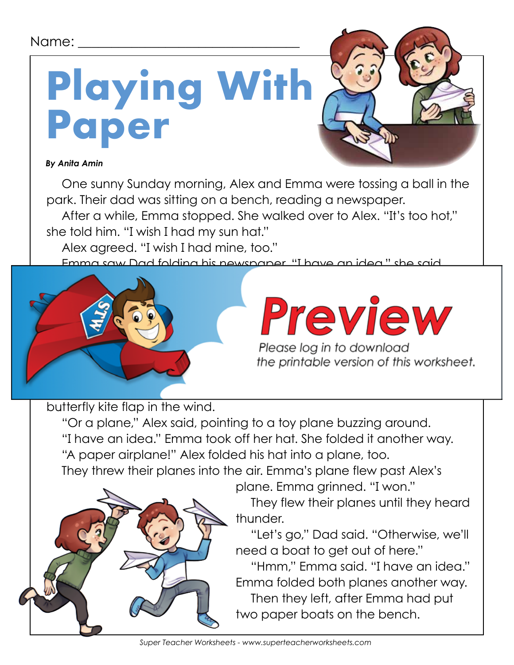#### Name:

# **Playing With Paper**

#### *By Anita Amin*

One sunny Sunday morning, Alex and Emma were tossing a ball in the park. Their dad was sitting on a bench, reading a newspaper.

After a while, Emma stopped. She walked over to Alex. "It's too hot," she told him. "I wish I had my sun hat."

Alex agreed. "I wish I had mine, too."

Emma saw Dad folding his newspaper. "I have an idea," she said.



Please log in to download the printable version of this worksheet.

butterfly kite flap in the wind.

"Or a plane," Alex said, pointing to a toy plane buzzing around. "I have an idea." Emma took off her hat. She folded it another way.

"A paper airplane!" Alex folded his hat into a plane, too.

They threw their planes into the air. Emma's plane flew past Alex's



plane. Emma grinned. "I won."

They flew their planes until they heard thunder.

"Let's go," Dad said. "Otherwise, we'll need a boat to get out of here."

"Hmm," Emma said. "I have an idea." Emma folded both planes another way. Then they left, after Emma had put two paper boats on the bench.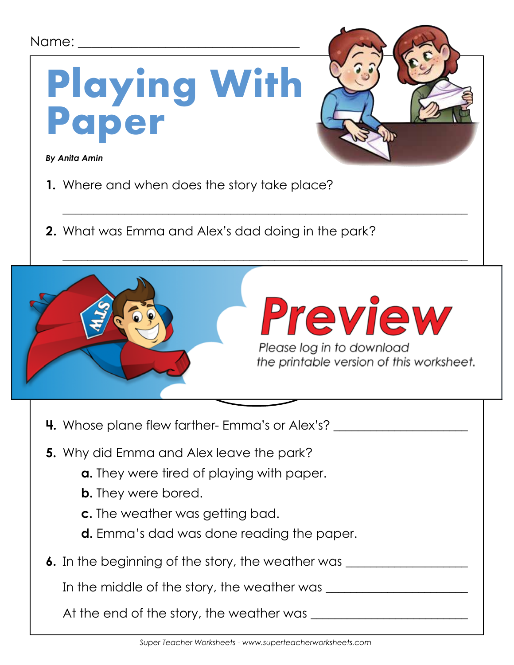| Name:<br><b>Playing With</b><br>Paper<br><b>By Anita Amin</b><br>1. Where and when does the story take place?<br><b>2.</b> What was Emma and Alex's dad doing in the park?                                                                                                                                                                                                                      |  |
|-------------------------------------------------------------------------------------------------------------------------------------------------------------------------------------------------------------------------------------------------------------------------------------------------------------------------------------------------------------------------------------------------|--|
| Preview<br>Please log in to download<br>the printable version of this worksheet.                                                                                                                                                                                                                                                                                                                |  |
| <b>4.</b> Whose plane flew farther- Emma's or Alex's? ________________________________<br>5. Why did Emma and Alex leave the park?<br><b>a.</b> They were tired of playing with paper.<br><b>b.</b> They were bored.<br>c. The weather was getting bad.<br><b>d.</b> Emma's dad was done reading the paper.<br>6. In the beginning of the story, the weather was ______________________________ |  |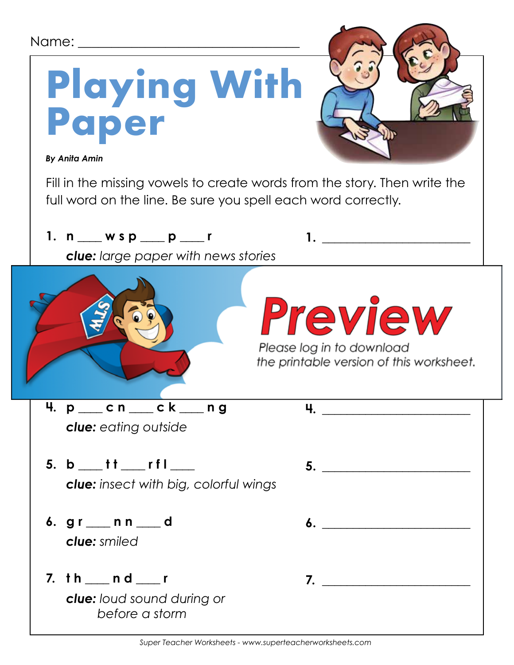| Name: 120                                                                    |                                                                                         |
|------------------------------------------------------------------------------|-----------------------------------------------------------------------------------------|
| Playing With<br>Paper                                                        |                                                                                         |
| <b>By Anita Amin</b>                                                         |                                                                                         |
| full word on the line. Be sure you spell each word correctly.                | Fill in the missing vowels to create words from the story. Then write the               |
| 1. n $\_\_\_$ w s p $\_\_$ p $\_\_$ r                                        |                                                                                         |
| <b>clue:</b> large paper with news stories                                   |                                                                                         |
|                                                                              | <b>Preview</b><br>Please log in to download<br>the printable version of this worksheet. |
| 4. $p$ _____ $cn$ ____ $ck$ ____ $ng$<br><b>clue:</b> eating outside         | 4. <u>— — — — — — — —</u>                                                               |
| 5. $b$ ___ t t ___ r f l ___<br><b>clue:</b> insect with big, colorful wings |                                                                                         |
| 6. gr __ n n __ d<br><b>clue:</b> smiled                                     |                                                                                         |
| 7. th ___ n d ___ r<br><b>clue:</b> loud sound during or<br>before a storm   |                                                                                         |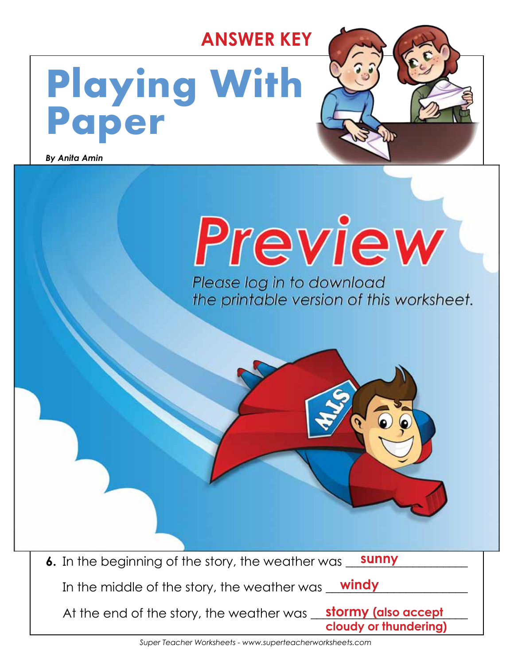### **ANSWER KEY**

## **Playing With Paper**

**5.** Why did Emma and Alex leave the park?

**c. The weather was getting bad.**

**b.** They were bored.

**paper boats**

**a.** They were tired of playing with paper.

d. Emma <sup>st</sup> dad was done reading the paper. The paper of the paper. The paper of the paper. The paper. The paper.

*By Anita Amin*



**Emma's**

**paper hats**

**6.** In the beginning of the story, the weather was **sunny** In the middle of the story, the weather was \_\_\_\_\_\_\_\_\_\_\_\_\_\_\_\_\_\_\_\_\_\_\_ **windy** At the end of the story, the weather was <u>Stormy (also accept a sta</u> **cloudy or thundering)**

**4.** Whose plane flew farther- Emma's or Alex's? \_\_\_\_\_\_\_\_\_\_\_\_\_\_\_\_\_\_\_\_\_\_

**paper airplanes**

**Three Things Emma Made**